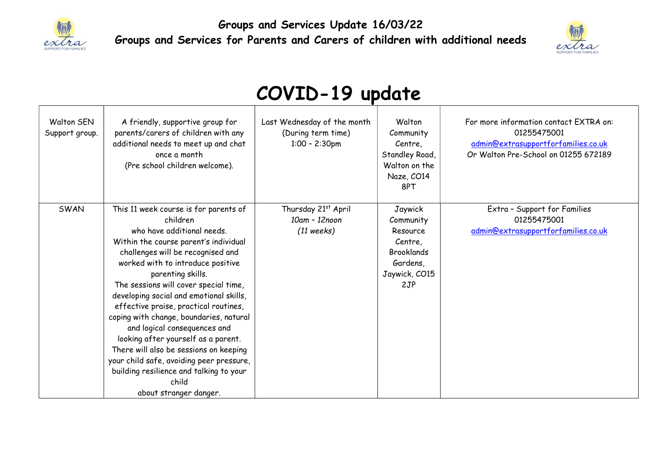

Groups and Services Update 16/03/22 Groups and Services for Parents and Carers of children with additional needs



## COVID-19 update

| Walton SEN<br>Support group. | A friendly, supportive group for<br>parents/carers of children with any<br>additional needs to meet up and chat<br>once a month<br>(Pre school children welcome).                                                                                                                                                                                                                                                                                                                                                                                                                                                                          | Last Wednesday of the month<br>(During term time)<br>$1:00 - 2:30$ pm | Walton<br>Community<br>Centre,<br>Standley Road,<br>Walton on the<br>Naze, CO14<br>8PT               | For more information contact EXTRA on:<br>01255475001<br>admin@extrasupportforfamilies.co.uk<br>Or Walton Pre-School on 01255 672189 |
|------------------------------|--------------------------------------------------------------------------------------------------------------------------------------------------------------------------------------------------------------------------------------------------------------------------------------------------------------------------------------------------------------------------------------------------------------------------------------------------------------------------------------------------------------------------------------------------------------------------------------------------------------------------------------------|-----------------------------------------------------------------------|------------------------------------------------------------------------------------------------------|--------------------------------------------------------------------------------------------------------------------------------------|
| SWAN                         | This 11 week course is for parents of<br>children<br>who have additional needs.<br>Within the course parent's individual<br>challenges will be recognised and<br>worked with to introduce positive<br>parenting skills.<br>The sessions will cover special time,<br>developing social and emotional skills,<br>effective praise, practical routines,<br>coping with change, boundaries, natural<br>and logical consequences and<br>looking after yourself as a parent.<br>There will also be sessions on keeping<br>your child safe, avoiding peer pressure,<br>building resilience and talking to your<br>child<br>about stranger danger. | Thursday 21st April<br>10am - 12noon<br>$(11$ weeks)                  | Jaywick<br>Community<br>Resource<br>Centre,<br><b>Brooklands</b><br>Gardens,<br>Jaywick, CO15<br>2JP | Extra - Support for Families<br>01255475001<br>admin@extrasupportforfamilies.co.uk                                                   |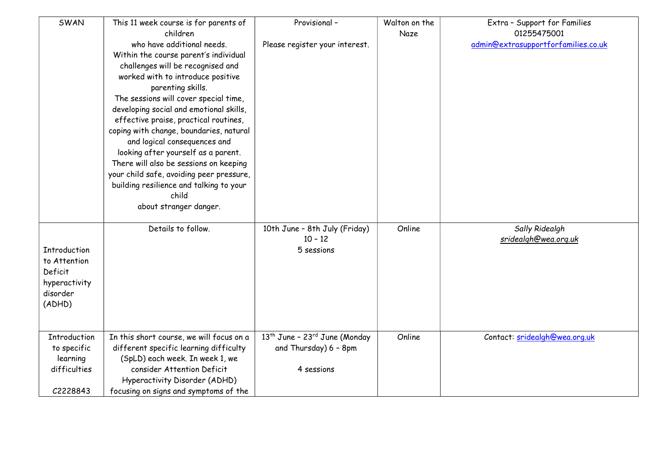| SWAN          | This 11 week course is for parents of<br>children | Provisional -                                         | Walton on the<br>Naze | Extra - Support for Families<br>01255475001 |
|---------------|---------------------------------------------------|-------------------------------------------------------|-----------------------|---------------------------------------------|
|               | who have additional needs.                        |                                                       |                       | admin@extrasupportforfamilies.co.uk         |
|               | Within the course parent's individual             | Please register your interest.                        |                       |                                             |
|               |                                                   |                                                       |                       |                                             |
|               | challenges will be recognised and                 |                                                       |                       |                                             |
|               | worked with to introduce positive                 |                                                       |                       |                                             |
|               | parenting skills.                                 |                                                       |                       |                                             |
|               | The sessions will cover special time,             |                                                       |                       |                                             |
|               | developing social and emotional skills,           |                                                       |                       |                                             |
|               | effective praise, practical routines,             |                                                       |                       |                                             |
|               | coping with change, boundaries, natural           |                                                       |                       |                                             |
|               | and logical consequences and                      |                                                       |                       |                                             |
|               | looking after yourself as a parent.               |                                                       |                       |                                             |
|               | There will also be sessions on keeping            |                                                       |                       |                                             |
|               | your child safe, avoiding peer pressure,          |                                                       |                       |                                             |
|               | building resilience and talking to your           |                                                       |                       |                                             |
|               | child                                             |                                                       |                       |                                             |
|               | about stranger danger.                            |                                                       |                       |                                             |
|               |                                                   |                                                       |                       |                                             |
|               | Details to follow.                                | 10th June - 8th July (Friday)                         | Online                | Sally Ridealgh                              |
|               |                                                   | $10 - 12$                                             |                       | sridealgh@wea.org.uk                        |
| Introduction  |                                                   | 5 sessions                                            |                       |                                             |
| to Attention  |                                                   |                                                       |                       |                                             |
| Deficit       |                                                   |                                                       |                       |                                             |
| hyperactivity |                                                   |                                                       |                       |                                             |
| disorder      |                                                   |                                                       |                       |                                             |
| (ADHD)        |                                                   |                                                       |                       |                                             |
|               |                                                   |                                                       |                       |                                             |
|               |                                                   |                                                       |                       |                                             |
| Introduction  | In this short course, we will focus on a          | 13 <sup>th</sup> June - 23 <sup>rd</sup> June (Monday | Online                | Contact: sridealgh@wea.org.uk               |
| to specific   | different specific learning difficulty            | and Thursday) 6 - 8pm                                 |                       |                                             |
| learning      | (SpLD) each week. In week 1, we                   |                                                       |                       |                                             |
| difficulties  | consider Attention Deficit                        | 4 sessions                                            |                       |                                             |
|               | Hyperactivity Disorder (ADHD)                     |                                                       |                       |                                             |
| C2228843      | focusing on signs and symptoms of the             |                                                       |                       |                                             |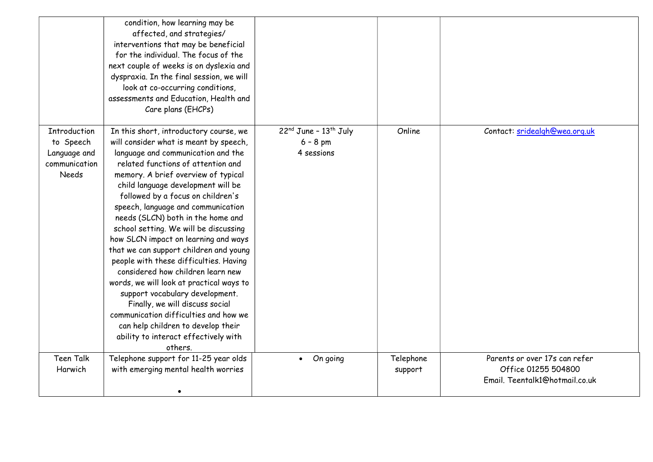|                                                                                   | condition, how learning may be<br>affected, and strategies/<br>interventions that may be beneficial<br>for the individual. The focus of the<br>next couple of weeks is on dyslexia and<br>dyspraxia. In the final session, we will<br>look at co-occurring conditions,<br>assessments and Education, Health and<br>Care plans (EHCPs)                                                                                                                                                                                                                                                                                                                                                                                                                                                                                  |                                                       |                      |                                                                                        |
|-----------------------------------------------------------------------------------|------------------------------------------------------------------------------------------------------------------------------------------------------------------------------------------------------------------------------------------------------------------------------------------------------------------------------------------------------------------------------------------------------------------------------------------------------------------------------------------------------------------------------------------------------------------------------------------------------------------------------------------------------------------------------------------------------------------------------------------------------------------------------------------------------------------------|-------------------------------------------------------|----------------------|----------------------------------------------------------------------------------------|
| <b>Introduction</b><br>to Speech<br>Language and<br>communication<br><b>Needs</b> | In this short, introductory course, we<br>will consider what is meant by speech,<br>language and communication and the<br>related functions of attention and<br>memory. A brief overview of typical<br>child language development will be<br>followed by a focus on children's<br>speech, language and communication<br>needs (SLCN) both in the home and<br>school setting. We will be discussing<br>how SLCN impact on learning and ways<br>that we can support children and young<br>people with these difficulties. Having<br>considered how children learn new<br>words, we will look at practical ways to<br>support vocabulary development.<br>Finally, we will discuss social<br>communication difficulties and how we<br>can help children to develop their<br>ability to interact effectively with<br>others | $22nd$ June - $13th$ July<br>$6 - 8$ pm<br>4 sessions | Online               | Contact: sridealgh@wea.org.uk                                                          |
| <b>Teen Talk</b><br>Harwich                                                       | Telephone support for 11-25 year olds<br>with emerging mental health worries                                                                                                                                                                                                                                                                                                                                                                                                                                                                                                                                                                                                                                                                                                                                           | On going                                              | Telephone<br>support | Parents or over 17s can refer<br>Office 01255 504800<br>Email, Teentalk1@hotmail.co.uk |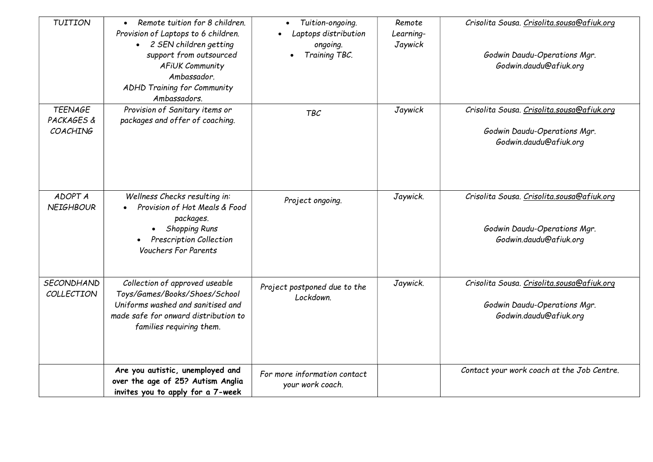| <b>TUITION</b>                           | Remote tuition for 8 children.<br>$\bullet$<br>Provision of Laptops to 6 children.<br>• 2 SEN children getting<br>support from outsourced<br>AFIUK Community<br>Ambassador.<br>ADHD Training for Community<br>Ambassadors. | Tuition-ongoing.<br>Laptops distribution<br>ongoing.<br>Training TBC. | Remote<br>Learning-<br>Jaywick | Crisolita Sousa. Crisolita.sousa@afiuk.org<br>Godwin Daudu-Operations Mgr.<br>Godwin.daudu@afiuk.org |
|------------------------------------------|----------------------------------------------------------------------------------------------------------------------------------------------------------------------------------------------------------------------------|-----------------------------------------------------------------------|--------------------------------|------------------------------------------------------------------------------------------------------|
| <b>TEENAGE</b><br>PACKAGES &<br>COACHING | Provision of Sanitary items or<br>packages and offer of coaching.                                                                                                                                                          | <b>TBC</b>                                                            | Jaywick                        | Crisolita Sousa. Crisolita.sousa@afiuk.org<br>Godwin Daudu-Operations Mgr.<br>Godwin.daudu@afiuk.org |
| ADOPT A<br><b>NEIGHBOUR</b>              | Wellness Checks resulting in:<br>Provision of Hot Meals & Food<br>packages.<br><b>Shopping Runs</b><br><b>Prescription Collection</b><br><b>Vouchers For Parents</b>                                                       | Project ongoing.                                                      | Jaywick.                       | Crisolita Sousa. Crisolita.sousa@afiuk.org<br>Godwin Daudu-Operations Mgr.<br>Godwin.daudu@afiuk.org |
| SECONDHAND<br>COLLECTION                 | Collection of approved useable<br>Toys/Games/Books/Shoes/School<br>Uniforms washed and sanitised and<br>made safe for onward distribution to<br>families requiring them.                                                   | Project postponed due to the<br>Lockdown.                             | Jaywick.                       | Crisolita Sousa. Crisolita.sousa@afiuk.org<br>Godwin Daudu-Operations Mgr.<br>Godwin.daudu@afiuk.org |
|                                          | Are you autistic, unemployed and<br>over the age of 25? Autism Anglia<br>invites you to apply for a 7-week                                                                                                                 | For more information contact<br>your work coach.                      |                                | Contact your work coach at the Job Centre.                                                           |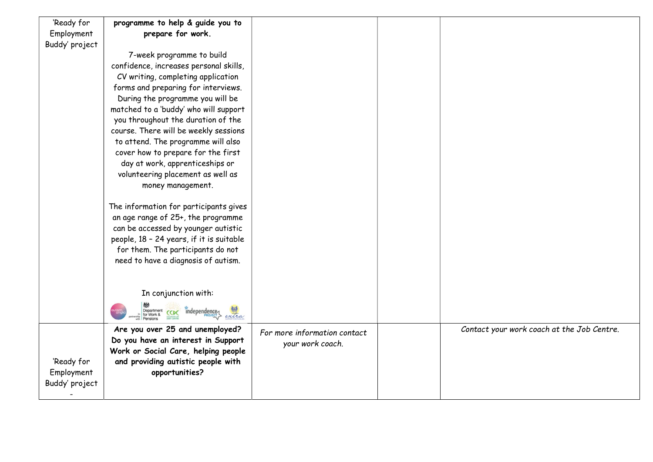| 'Ready for     | programme to help & guide you to                          |                              |                                            |
|----------------|-----------------------------------------------------------|------------------------------|--------------------------------------------|
| Employment     | prepare for work.                                         |                              |                                            |
| Buddy' project |                                                           |                              |                                            |
|                | 7-week programme to build                                 |                              |                                            |
|                | confidence, increases personal skills,                    |                              |                                            |
|                | CV writing, completing application                        |                              |                                            |
|                | forms and preparing for interviews.                       |                              |                                            |
|                | During the programme you will be                          |                              |                                            |
|                | matched to a 'buddy' who will support                     |                              |                                            |
|                | you throughout the duration of the                        |                              |                                            |
|                | course. There will be weekly sessions                     |                              |                                            |
|                | to attend. The programme will also                        |                              |                                            |
|                | cover how to prepare for the first                        |                              |                                            |
|                | day at work, apprenticeships or                           |                              |                                            |
|                | volunteering placement as well as                         |                              |                                            |
|                | money management.                                         |                              |                                            |
|                |                                                           |                              |                                            |
|                | The information for participants gives                    |                              |                                            |
|                | an age range of 25+, the programme                        |                              |                                            |
|                | can be accessed by younger autistic                       |                              |                                            |
|                | people, 18 - 24 years, if it is suitable                  |                              |                                            |
|                | for them. The participants do not                         |                              |                                            |
|                | need to have a diagnosis of autism.                       |                              |                                            |
|                |                                                           |                              |                                            |
|                |                                                           |                              |                                            |
|                | In conjunction with:                                      |                              |                                            |
|                | independence<br>Department<br>for Work &<br>CCDC<br>extra |                              |                                            |
|                | Are you over 25 and unemployed?                           | For more information contact | Contact your work coach at the Job Centre. |
|                | Do you have an interest in Support                        | your work coach.             |                                            |
|                | Work or Social Care, helping people                       |                              |                                            |
| 'Ready for     | and providing autistic people with                        |                              |                                            |
| Employment     | opportunities?                                            |                              |                                            |
| Buddy' project |                                                           |                              |                                            |
|                |                                                           |                              |                                            |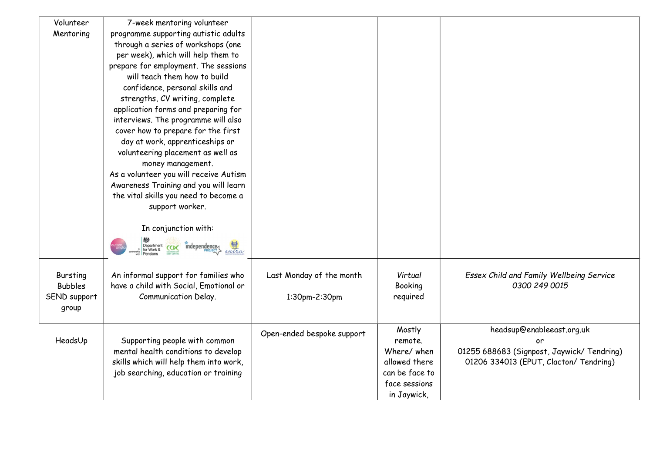| Volunteer      | 7-week mentoring volunteer                                               |                            |                |                                           |
|----------------|--------------------------------------------------------------------------|----------------------------|----------------|-------------------------------------------|
| Mentoring      | programme supporting autistic adults                                     |                            |                |                                           |
|                | through a series of workshops (one                                       |                            |                |                                           |
|                | per week), which will help them to                                       |                            |                |                                           |
|                | prepare for employment. The sessions                                     |                            |                |                                           |
|                | will teach them how to build                                             |                            |                |                                           |
|                | confidence, personal skills and                                          |                            |                |                                           |
|                | strengths, CV writing, complete                                          |                            |                |                                           |
|                | application forms and preparing for                                      |                            |                |                                           |
|                | interviews. The programme will also                                      |                            |                |                                           |
|                | cover how to prepare for the first                                       |                            |                |                                           |
|                | day at work, apprenticeships or                                          |                            |                |                                           |
|                | volunteering placement as well as                                        |                            |                |                                           |
|                | money management.                                                        |                            |                |                                           |
|                | As a volunteer you will receive Autism                                   |                            |                |                                           |
|                | Awareness Training and you will learn                                    |                            |                |                                           |
|                | the vital skills you need to become a                                    |                            |                |                                           |
|                | support worker.                                                          |                            |                |                                           |
|                |                                                                          |                            |                |                                           |
|                | In conjunction with:                                                     |                            |                |                                           |
|                |                                                                          |                            |                |                                           |
|                | $\frac{1}{\sqrt{c}}$<br>Department<br>for Work &<br>independence<br>CCDC |                            |                |                                           |
|                |                                                                          |                            |                |                                           |
| Bursting       | An informal support for families who                                     | Last Monday of the month   | Virtual        | Essex Child and Family Wellbeing Service  |
| <b>Bubbles</b> | have a child with Social, Emotional or                                   |                            | <b>Booking</b> | 0300 249 0015                             |
| SEND support   | <b>Communication Delay.</b>                                              | 1:30pm-2:30pm              | required       |                                           |
| group          |                                                                          |                            |                |                                           |
|                |                                                                          |                            |                |                                           |
|                |                                                                          | Open-ended bespoke support | Mostly         | headsup@enableeast.org.uk                 |
| HeadsUp        | Supporting people with common                                            |                            | remote.        | ٥r                                        |
|                | mental health conditions to develop                                      |                            | Where/ when    | 01255 688683 (Signpost, Jaywick/Tendring) |
|                | skills which will help them into work,                                   |                            | allowed there  | 01206 334013 (EPUT, Clacton/ Tendring)    |
|                | job searching, education or training                                     |                            | can be face to |                                           |
|                |                                                                          |                            | face sessions  |                                           |
|                |                                                                          |                            | in Jaywick,    |                                           |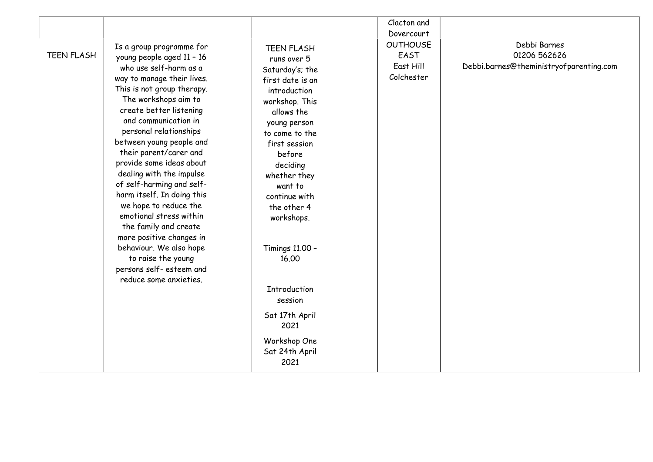| <b>TEEN FLASH</b><br>runs over 5<br>Saturday's; the<br>first date is an<br>introduction<br>workshop. This                                      | Clacton and<br>Dovercourt<br><b>OUTHOUSE</b><br>EAST<br>East Hill<br>Colchester | Debbi Barnes<br>01206 562626<br>Debbi.barnes@theministryofparenting.com |
|------------------------------------------------------------------------------------------------------------------------------------------------|---------------------------------------------------------------------------------|-------------------------------------------------------------------------|
| young person<br>to come to the<br>first session<br>before<br>deciding<br>whether they<br>want to<br>continue with<br>the other 4<br>workshops. |                                                                                 |                                                                         |
| 16.00<br>Introduction<br>session                                                                                                               |                                                                                 |                                                                         |
| Sat 17th April<br>2021<br>Workshop One<br>Sat 24th April<br>2021                                                                               |                                                                                 |                                                                         |
|                                                                                                                                                | allows the<br>Timings 11.00 -                                                   |                                                                         |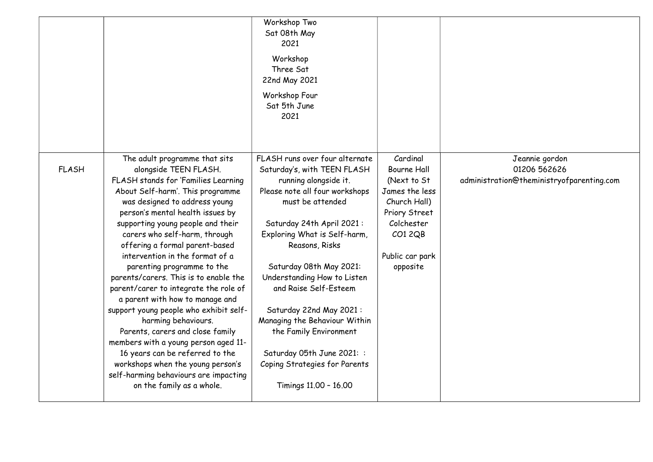|              |                                                                                                                                                                                                                                                                                                                                                                                                                                                                                                                                                                                                                                                                                                                                                                                                 | Workshop Two<br>Sat 08th May<br>2021<br>Workshop<br>Three Sat<br>22nd May 2021<br>Workshop Four<br>Sat 5th June<br>2021                                                                                                                                                                                                                                                                                                                                                                      |                                                                                                                                                         |                                                                             |
|--------------|-------------------------------------------------------------------------------------------------------------------------------------------------------------------------------------------------------------------------------------------------------------------------------------------------------------------------------------------------------------------------------------------------------------------------------------------------------------------------------------------------------------------------------------------------------------------------------------------------------------------------------------------------------------------------------------------------------------------------------------------------------------------------------------------------|----------------------------------------------------------------------------------------------------------------------------------------------------------------------------------------------------------------------------------------------------------------------------------------------------------------------------------------------------------------------------------------------------------------------------------------------------------------------------------------------|---------------------------------------------------------------------------------------------------------------------------------------------------------|-----------------------------------------------------------------------------|
| <b>FLASH</b> | The adult programme that sits<br>alongside TEEN FLASH.<br>FLASH stands for 'Families Learning<br>About Self-harm'. This programme<br>was designed to address young<br>person's mental health issues by<br>supporting young people and their<br>carers who self-harm, through<br>offering a formal parent-based<br>intervention in the format of a<br>parenting programme to the<br>parents/carers. This is to enable the<br>parent/carer to integrate the role of<br>a parent with how to manage and<br>support young people who exhibit self-<br>harming behaviours.<br>Parents, carers and close family<br>members with a young person aged 11-<br>16 years can be referred to the<br>workshops when the young person's<br>self-harming behaviours are impacting<br>on the family as a whole. | FLASH runs over four alternate<br>Saturday's, with TEEN FLASH<br>running alongside it.<br>Please note all four workshops<br>must be attended<br>Saturday 24th April 2021:<br>Exploring What is Self-harm,<br>Reasons, Risks<br>Saturday 08th May 2021:<br>Understanding How to Listen<br>and Raise Self-Esteem<br>Saturday 22nd May 2021:<br>Managing the Behaviour Within<br>the Family Environment<br>Saturday 05th June 2021: :<br>Coping Strategies for Parents<br>Timings 11.00 - 16.00 | Cardinal<br><b>Bourne Hall</b><br>(Next to St<br>James the less<br>Church Hall)<br>Priory Street<br>Colchester<br>CO12QB<br>Public car park<br>opposite | Jeannie gordon<br>01206 562626<br>administration@theministryofparenting.com |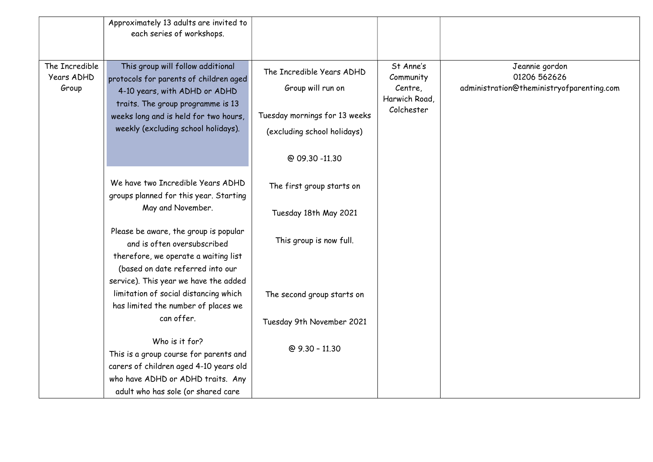|                                       | Approximately 13 adults are invited to<br>each series of workshops.                                                                                                                                                               |                                                                                                                                  |                                                                  |                                                                             |
|---------------------------------------|-----------------------------------------------------------------------------------------------------------------------------------------------------------------------------------------------------------------------------------|----------------------------------------------------------------------------------------------------------------------------------|------------------------------------------------------------------|-----------------------------------------------------------------------------|
| The Incredible<br>Years ADHD<br>Group | This group will follow additional<br>protocols for parents of children aged<br>4-10 years, with ADHD or ADHD<br>traits. The group programme is 13<br>weeks long and is held for two hours,<br>weekly (excluding school holidays). | The Incredible Years ADHD<br>Group will run on<br>Tuesday mornings for 13 weeks<br>(excluding school holidays)<br>@ 09.30 -11.30 | St Anne's<br>Community<br>Centre,<br>Harwich Road,<br>Colchester | Jeannie gordon<br>01206 562626<br>administration@theministryofparenting.com |
|                                       | We have two Incredible Years ADHD<br>groups planned for this year. Starting                                                                                                                                                       | The first group starts on                                                                                                        |                                                                  |                                                                             |
|                                       | May and November.                                                                                                                                                                                                                 | Tuesday 18th May 2021                                                                                                            |                                                                  |                                                                             |
|                                       | Please be aware, the group is popular<br>and is often oversubscribed<br>therefore, we operate a waiting list<br>(based on date referred into our                                                                                  | This group is now full.                                                                                                          |                                                                  |                                                                             |
|                                       | service). This year we have the added<br>limitation of social distancing which<br>has limited the number of places we                                                                                                             | The second group starts on                                                                                                       |                                                                  |                                                                             |
|                                       | can offer.                                                                                                                                                                                                                        | Tuesday 9th November 2021                                                                                                        |                                                                  |                                                                             |
|                                       | Who is it for?<br>This is a group course for parents and<br>carers of children aged 4-10 years old<br>who have ADHD or ADHD traits. Any<br>adult who has sole (or shared care                                                     | @ 9.30 - 11.30                                                                                                                   |                                                                  |                                                                             |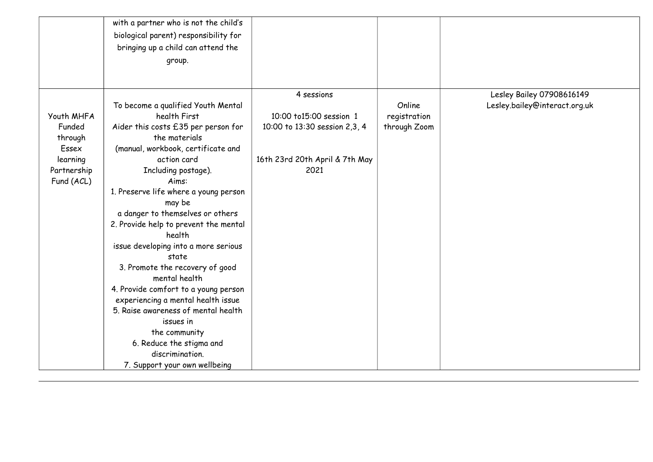|             | with a partner who is not the child's |                                |              |                               |
|-------------|---------------------------------------|--------------------------------|--------------|-------------------------------|
|             | biological parent) responsibility for |                                |              |                               |
|             | bringing up a child can attend the    |                                |              |                               |
|             | group.                                |                                |              |                               |
|             |                                       |                                |              |                               |
|             |                                       |                                |              |                               |
|             |                                       | 4 sessions                     |              | Lesley Bailey 07908616149     |
|             | To become a qualified Youth Mental    |                                | Online       | Lesley.bailey@interact.org.uk |
| Youth MHFA  | health First                          | 10:00 to15:00 session 1        | registration |                               |
| Funded      | Aider this costs £35 per person for   | 10:00 to 13:30 session 2,3, 4  | through Zoom |                               |
| through     | the materials                         |                                |              |                               |
| Essex       | (manual, workbook, certificate and    |                                |              |                               |
| learning    | action card                           | 16th 23rd 20th April & 7th May |              |                               |
| Partnership | Including postage).                   | 2021                           |              |                               |
| Fund (ACL)  | Aims:                                 |                                |              |                               |
|             | 1. Preserve life where a young person |                                |              |                               |
|             | may be                                |                                |              |                               |
|             | a danger to themselves or others      |                                |              |                               |
|             | 2. Provide help to prevent the mental |                                |              |                               |
|             | health                                |                                |              |                               |
|             | issue developing into a more serious  |                                |              |                               |
|             | state                                 |                                |              |                               |
|             | 3. Promote the recovery of good       |                                |              |                               |
|             | mental health                         |                                |              |                               |
|             | 4. Provide comfort to a young person  |                                |              |                               |
|             | experiencing a mental health issue    |                                |              |                               |
|             | 5. Raise awareness of mental health   |                                |              |                               |
|             | issues in                             |                                |              |                               |
|             | the community                         |                                |              |                               |
|             | 6. Reduce the stigma and              |                                |              |                               |
|             | discrimination.                       |                                |              |                               |
|             | 7. Support your own wellbeing         |                                |              |                               |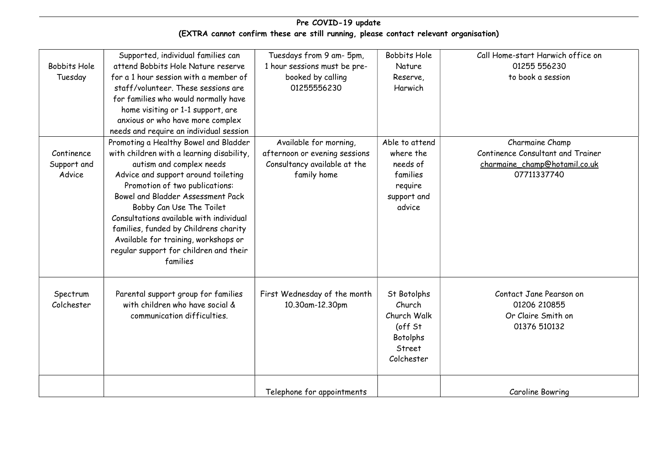## Pre COVID-19 update (EXTRA cannot confirm these are still running, please contact relevant organisation)

| <b>Bobbits Hole</b><br>Tuesday      | Supported, individual families can<br>attend Bobbits Hole Nature reserve<br>for a 1 hour session with a member of<br>staff/volunteer. These sessions are<br>for families who would normally have<br>home visiting or 1-1 support, are<br>anxious or who have more complex<br>needs and require an individual session                                                                                                                       | Tuesdays from 9 am- 5pm,<br>1 hour sessions must be pre-<br>booked by calling<br>01255556230           | <b>Bobbits Hole</b><br>Nature<br>Reserve,<br>Harwich                                       | Call Home-start Harwich office on<br>01255 556230<br>to book a session                               |
|-------------------------------------|--------------------------------------------------------------------------------------------------------------------------------------------------------------------------------------------------------------------------------------------------------------------------------------------------------------------------------------------------------------------------------------------------------------------------------------------|--------------------------------------------------------------------------------------------------------|--------------------------------------------------------------------------------------------|------------------------------------------------------------------------------------------------------|
| Continence<br>Support and<br>Advice | Promoting a Healthy Bowel and Bladder<br>with children with a learning disability,<br>autism and complex needs<br>Advice and support around toileting<br>Promotion of two publications:<br>Bowel and Bladder Assessment Pack<br>Bobby Can Use The Toilet<br>Consultations available with individual<br>families, funded by Childrens charity<br>Available for training, workshops or<br>regular support for children and their<br>families | Available for morning,<br>afternoon or evening sessions<br>Consultancy available at the<br>family home | Able to attend<br>where the<br>needs of<br>families<br>require<br>support and<br>advice    | Charmaine Champ<br>Continence Consultant and Trainer<br>charmaine_champ@hotamil.co.uk<br>07711337740 |
| Spectrum<br>Colchester              | Parental support group for families<br>with children who have social &<br>communication difficulties.                                                                                                                                                                                                                                                                                                                                      | First Wednesday of the month<br>10.30am-12.30pm                                                        | St Botolphs<br>Church<br>Church Walk<br>(off St<br><b>Botolphs</b><br>Street<br>Colchester | Contact Jane Pearson on<br>01206 210855<br>Or Claire Smith on<br>01376 510132                        |
|                                     |                                                                                                                                                                                                                                                                                                                                                                                                                                            | Telephone for appointments                                                                             |                                                                                            | Caroline Bowring                                                                                     |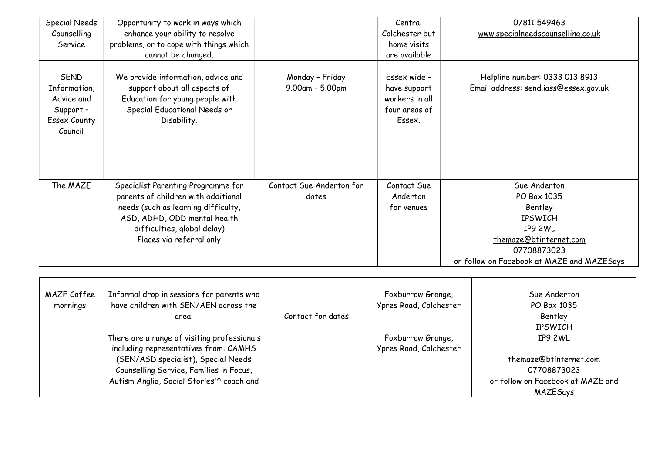| <b>Special Needs</b><br>Counselling | Opportunity to work in ways which<br>enhance your ability to resolve |                          | Central<br>Colchester but | 07811549463<br>www.specialneedscounselling.co.uk |  |
|-------------------------------------|----------------------------------------------------------------------|--------------------------|---------------------------|--------------------------------------------------|--|
| Service                             | problems, or to cope with things which                               |                          | home visits               |                                                  |  |
|                                     | cannot be changed.                                                   |                          | are available             |                                                  |  |
|                                     |                                                                      |                          |                           |                                                  |  |
| <b>SEND</b>                         | We provide information, advice and                                   | Monday - Friday          | Essex wide -              | Helpline number: 0333 013 8913                   |  |
| Information,                        | support about all aspects of                                         | 9.00am - 5.00pm          | have support              | Email address: send.iass@essex.gov.uk            |  |
| Advice and                          | Education for young people with                                      |                          | workers in all            |                                                  |  |
| Support-                            | Special Educational Needs or                                         |                          | four areas of             |                                                  |  |
| <b>Essex County</b>                 | Disability.                                                          |                          | Essex.                    |                                                  |  |
| Council                             |                                                                      |                          |                           |                                                  |  |
|                                     |                                                                      |                          |                           |                                                  |  |
|                                     |                                                                      |                          |                           |                                                  |  |
|                                     |                                                                      |                          |                           |                                                  |  |
|                                     |                                                                      |                          |                           |                                                  |  |
| The MAZE                            | Specialist Parenting Programme for                                   | Contact Sue Anderton for | Contact Sue               | Sue Anderton                                     |  |
|                                     | parents of children with additional                                  | dates                    | Anderton                  | PO Box 1035                                      |  |
|                                     | needs (such as learning difficulty,                                  |                          | for venues                | Bentley                                          |  |
|                                     | ASD, ADHD, ODD mental health                                         |                          |                           | <b>IPSWICH</b>                                   |  |
|                                     | difficulties, global delay)                                          |                          |                           | IP9 2WL                                          |  |
|                                     | Places via referral only                                             |                          |                           | themaze@btinternet.com                           |  |
|                                     |                                                                      |                          |                           | 07708873023                                      |  |
|                                     |                                                                      |                          |                           | or follow on Facebook at MAZE and MAZESays       |  |
|                                     |                                                                      |                          |                           |                                                  |  |
| MAZE Coffee                         | Informal drop in sessions for parents who                            |                          | Foxburrow Grange,         | Sue Anderton                                     |  |
| mornings                            | have children with SEN/AEN across the                                |                          | Ypres Road, Colchester    | PO Box 1035                                      |  |
|                                     | area.                                                                | Contact for dates        |                           | Bentley                                          |  |
|                                     |                                                                      |                          |                           | <b>IPSWICH</b>                                   |  |
|                                     | There are a range of visiting professionals                          |                          | Foxburrow Grange,         | IP9 2WL                                          |  |
|                                     | including representatives from: CAMHS                                |                          | Ypres Road, Colchester    |                                                  |  |
|                                     | (SEN/ASD specialist), Special Needs                                  |                          |                           | themaze@btinternet.com                           |  |
|                                     | Counselling Service, Families in Focus,                              |                          |                           | 07708873023                                      |  |

or follow on Facebook at MAZE and MAZESays

Counselling Service, Families in Focus, Autism Anglia, Social Stories™ coach and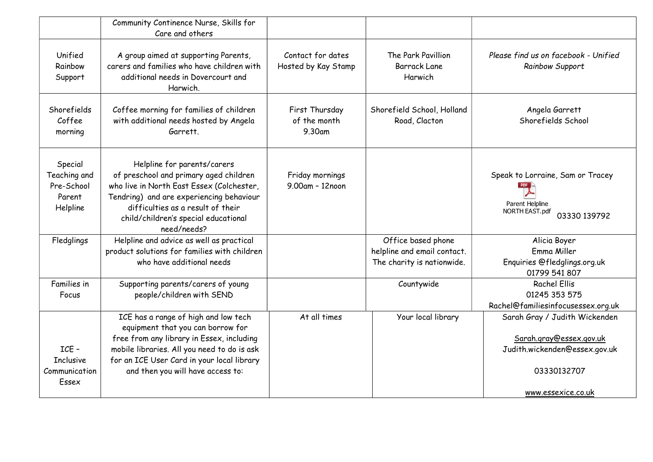|                                                             | Community Continence Nurse, Skills for<br>Care and others                                                                                                                                                                                                  |                                          |                                                           |                                                                                       |
|-------------------------------------------------------------|------------------------------------------------------------------------------------------------------------------------------------------------------------------------------------------------------------------------------------------------------------|------------------------------------------|-----------------------------------------------------------|---------------------------------------------------------------------------------------|
| Unified<br>Rainbow<br>Support                               | A group aimed at supporting Parents,<br>carers and families who have children with<br>additional needs in Dovercourt and<br>Harwich.                                                                                                                       | Contact for dates<br>Hosted by Kay Stamp | The Park Pavillion<br><b>Barrack Lane</b><br>Harwich      | Please find us on facebook - Unified<br>Rainbow Support                               |
| Shorefields<br>Coffee<br>morning                            | Coffee morning for families of children<br>with additional needs hosted by Angela<br>Garrett.                                                                                                                                                              | First Thursday<br>of the month<br>9.30am | Shorefield School, Holland<br>Road, Clacton               | Angela Garrett<br>Shorefields School                                                  |
| Special<br>Teaching and<br>Pre-School<br>Parent<br>Helpline | Helpline for parents/carers<br>of preschool and primary aged children<br>who live in North East Essex (Colchester,<br>Tendring) and are experiencing behaviour<br>difficulties as a result of their<br>child/children's special educational<br>need/needs? | Friday mornings<br>9.00am - 12noon       |                                                           | Speak to Lorraine, Sam or Tracey<br>Parent Helpline<br>NORTH EAST.pdf<br>03330 139792 |
| Fledglings                                                  | Helpline and advice as well as practical                                                                                                                                                                                                                   |                                          | Office based phone                                        | Alicia Boyer                                                                          |
|                                                             | product solutions for families with children<br>who have additional needs                                                                                                                                                                                  |                                          | helpline and email contact.<br>The charity is nationwide. | Emma Miller<br>Enquiries @fledglings.org.uk<br>01799 541 807                          |
| Families in<br>Focus                                        | Supporting parents/carers of young<br>people/children with SEND                                                                                                                                                                                            |                                          | Countywide                                                | <b>Rachel Ellis</b><br>01245 353 575<br>Rachel@familiesinfocusessex.org.uk            |
|                                                             | ICE has a range of high and low tech<br>equipment that you can borrow for<br>free from any library in Essex, including                                                                                                                                     | At all times                             | Your local library                                        | Sarah Gray / Judith Wickenden<br>Sarah.gray@essex.gov.uk                              |
| ICE-                                                        | mobile libraries. All you need to do is ask                                                                                                                                                                                                                |                                          |                                                           | Judith.wickenden@essex.gov.uk                                                         |
| <b>Inclusive</b><br>Communication<br>Essex                  | for an ICE User Card in your local library<br>and then you will have access to:                                                                                                                                                                            |                                          |                                                           | 03330132707                                                                           |
|                                                             |                                                                                                                                                                                                                                                            |                                          |                                                           | www.essexice.co.uk                                                                    |